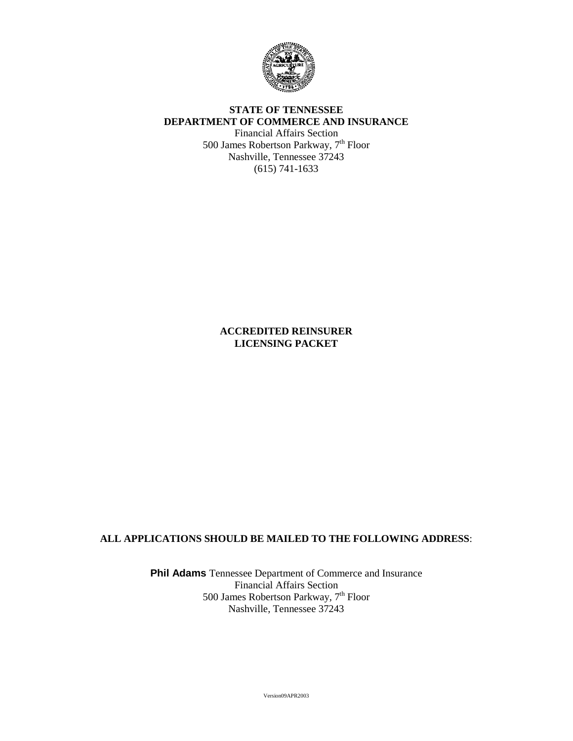

# **STATE OF TENNESSEE DEPARTMENT OF COMMERCE AND INSURANCE**

Financial Affairs Section 500 James Robertson Parkway, 7th Floor Nashville, Tennessee 37243 (615) 741-1633

> **ACCREDITED REINSURER LICENSING PACKET**

## **ALL APPLICATIONS SHOULD BE MAILED TO THE FOLLOWING ADDRESS**:

**Phil Adams** Tennessee Department of Commerce and Insurance Financial Affairs Section 500 James Robertson Parkway, 7<sup>th</sup> Floor Nashville, Tennessee 37243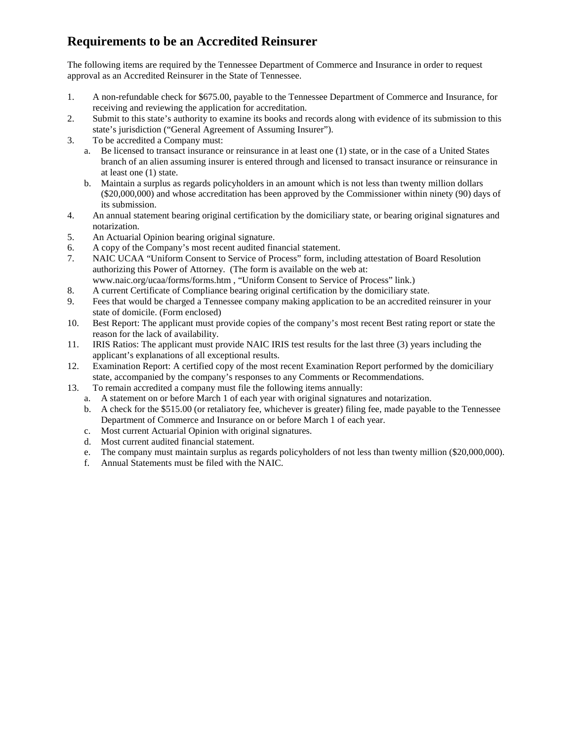# **Requirements to be an Accredited Reinsurer**

The following items are required by the Tennessee Department of Commerce and Insurance in order to request approval as an Accredited Reinsurer in the State of Tennessee.

- 1. A non-refundable check for \$675.00, payable to the Tennessee Department of Commerce and Insurance, for receiving and reviewing the application for accreditation.
- 2. Submit to this state's authority to examine its books and records along with evidence of its submission to this state's jurisdiction ("General Agreement of Assuming Insurer").
- 3. To be accredited a Company must:
	- a. Be licensed to transact insurance or reinsurance in at least one (1) state, or in the case of a United States branch of an alien assuming insurer is entered through and licensed to transact insurance or reinsurance in at least one (1) state.
	- b. Maintain a surplus as regards policyholders in an amount which is not less than twenty million dollars (\$20,000,000) and whose accreditation has been approved by the Commissioner within ninety (90) days of its submission.
- 4. An annual statement bearing original certification by the domiciliary state, or bearing original signatures and notarization.
- 5. An Actuarial Opinion bearing original signature.
- 6. A copy of the Company's most recent audited financial statement.
- 7. NAIC UCAA "Uniform Consent to Service of Process" form, including attestation of Board Resolution authorizing this Power of Attorney. (The form is available on the web at: www.naic.org/ucaa/forms/forms.htm , "Uniform Consent to Service of Process" link.)
- 8. A current Certificate of Compliance bearing original certification by the domiciliary state.
- 9. Fees that would be charged a Tennessee company making application to be an accredited reinsurer in your state of domicile. (Form enclosed)
- 10. Best Report: The applicant must provide copies of the company's most recent Best rating report or state the reason for the lack of availability.
- 11. IRIS Ratios: The applicant must provide NAIC IRIS test results for the last three (3) years including the applicant's explanations of all exceptional results.
- 12. Examination Report: A certified copy of the most recent Examination Report performed by the domiciliary state, accompanied by the company's responses to any Comments or Recommendations.
- 13. To remain accredited a company must file the following items annually:
	- a. A statement on or before March 1 of each year with original signatures and notarization.
	- b. A check for the \$515.00 (or retaliatory fee, whichever is greater) filing fee, made payable to the Tennessee Department of Commerce and Insurance on or before March 1 of each year.
	- c. Most current Actuarial Opinion with original signatures.
	- d. Most current audited financial statement.
	- e. The company must maintain surplus as regards policyholders of not less than twenty million (\$20,000,000).
	- f. Annual Statements must be filed with the NAIC.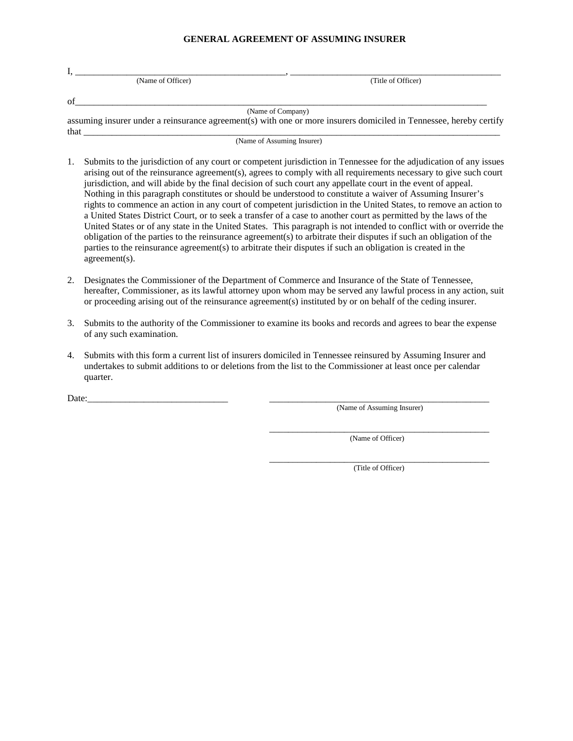### **GENERAL AGREEMENT OF ASSUMING INSURER**

| (Name of Officer) | (Title of Officer) |
|-------------------|--------------------|
| of                |                    |
|                   | (Name of Company)  |

assuming insurer under a reinsurance agreement(s) with one or more insurers domiciled in Tennessee, hereby certify that  $\Box$ 

(Name of Assuming Insurer)

- 1. Submits to the jurisdiction of any court or competent jurisdiction in Tennessee for the adjudication of any issues arising out of the reinsurance agreement(s), agrees to comply with all requirements necessary to give such court jurisdiction, and will abide by the final decision of such court any appellate court in the event of appeal. Nothing in this paragraph constitutes or should be understood to constitute a waiver of Assuming Insurer's rights to commence an action in any court of competent jurisdiction in the United States, to remove an action to a United States District Court, or to seek a transfer of a case to another court as permitted by the laws of the United States or of any state in the United States. This paragraph is not intended to conflict with or override the obligation of the parties to the reinsurance agreement(s) to arbitrate their disputes if such an obligation of the parties to the reinsurance agreement(s) to arbitrate their disputes if such an obligation is created in the agreement(s).
- 2. Designates the Commissioner of the Department of Commerce and Insurance of the State of Tennessee, hereafter, Commissioner, as its lawful attorney upon whom may be served any lawful process in any action, suit or proceeding arising out of the reinsurance agreement(s) instituted by or on behalf of the ceding insurer.
- 3. Submits to the authority of the Commissioner to examine its books and records and agrees to bear the expense of any such examination.
- 4. Submits with this form a current list of insurers domiciled in Tennessee reinsured by Assuming Insurer and undertakes to submit additions to or deletions from the list to the Commissioner at least once per calendar quarter.

Date:

(Name of Assuming Insurer)

\_\_\_\_\_\_\_\_\_\_\_\_\_\_\_\_\_\_\_\_\_\_\_\_\_\_\_\_\_\_\_\_\_\_\_\_\_\_\_\_\_\_\_\_\_\_\_ (Name of Officer)

\_\_\_\_\_\_\_\_\_\_\_\_\_\_\_\_\_\_\_\_\_\_\_\_\_\_\_\_\_\_\_\_\_\_\_\_\_\_\_\_\_\_\_\_\_\_\_ (Title of Officer)